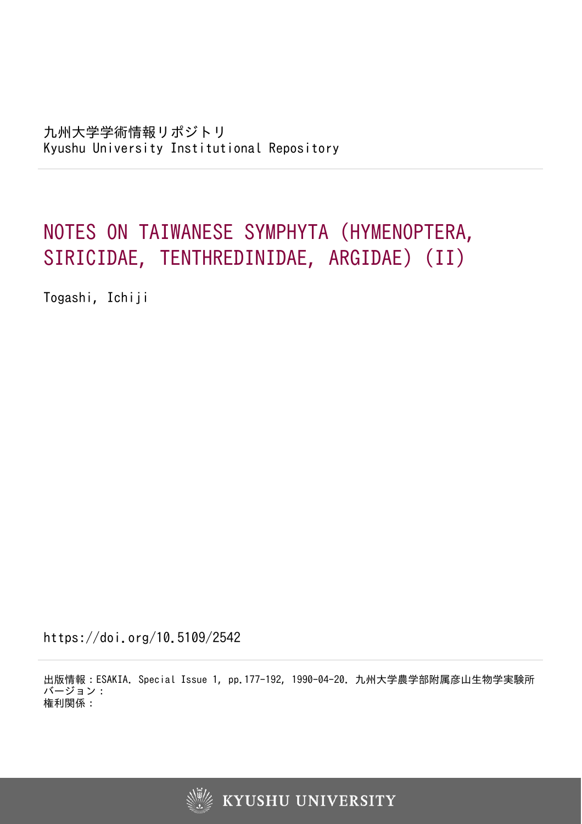# NOTES ON TAIWANESE SYMPHYTA (HYMENOPTERA, SIRICIDAE, TENTHREDINIDAE, ARGIDAE) (II)

Togashi, Ichiji

https://doi.org/10.5109/2542

出版情報:ESAKIA. Special Issue 1, pp.177-192, 1990-04-20. 九州大学農学部附属彦山生物学実験所 バージョン: 権利関係:

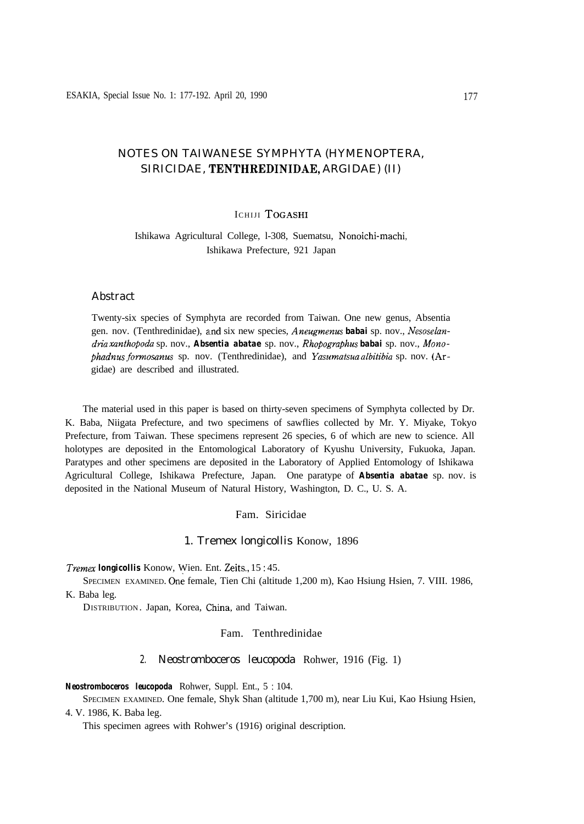# NOTES ON TAIWANESE SYMPHYTA (HYMENOPTERA, SIRICIDAE, TENTHREDINIDAE, ARGIDAE) (II)

# ICHIJI TOGASHI

Ishikawa Agricultural College, l-308, Suematsu, Nonoichi-machi, Ishikawa Prefecture, 921 Japan

#### Abstract

Twenty-six species of Symphyta are recorded from Taiwan. One new genus, Absentia gen. nov. (Tenthredinidae), and six new species, *Aneugmenus* **babai** sp. nov., Nesoselan*dria xunthopoda* sp. nov., *Absentia abatae* sp. nov., *Rhopographus babai* sp. nov., Mono*phadnus fomosanus* sp. nov. (Tenthredinidae), and *Yasumatsua albitibia* sp. nov. (Argidae) are described and illustrated.

The material used in this paper is based on thirty-seven specimens of Symphyta collected by Dr. K. Baba, Niigata Prefecture, and two specimens of sawflies collected by Mr. Y. Miyake, Tokyo Prefecture, from Taiwan. These specimens represent 26 species, 6 of which are new to science. All holotypes are deposited in the Entomological Laboratory of Kyushu University, Fukuoka, Japan. Paratypes and other specimens are deposited in the Laboratory of Applied Entomology of Ishikawa Agricultural College, Ishikawa Prefecture, Japan. One paratype of *Absentia abatae* sp. nov. is deposited in the National Museum of Natural History, Washington, D. C., U. S. A.

### Fam. Siricidae

#### 1. Tremex longicollis Konow, 1896

#### *Tremex longicollis* Konow, Wien. Ent. Zeits., 15 : 45.

SPECIMEN EXAMINED. One female, Tien Chi (altitude 1,200 m), Kao Hsiung Hsien, 7. VIII. 1986, K. Baba leg.

DISTRIBUTION. Japan, Korea, China, and Taiwan.

#### Fam. Tenthredinidae

#### 2. Neostromboceros leucopoda Rohwer, 1916 (Fig. 1)

*Neostromboceros leucopoda* Rohwer, Suppl. Ent., 5 : 104.

SPECIMEN EXAMINED. One female, Shyk Shan (altitude 1,700 m), near Liu Kui, Kao Hsiung Hsien, 4. V. 1986, K. Baba leg.

This specimen agrees with Rohwer's (1916) original description.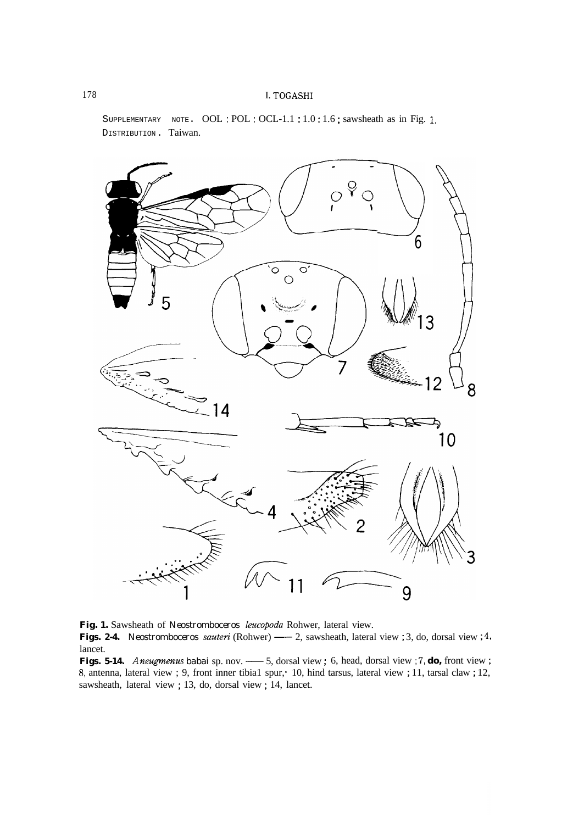SUPPLEMENTARY NOTE. OOL: POL: OCL-1.1:1.0:1.6; sawsheath as in Fig. 1. DISTRIBUTION. Taiwan.



**Fig. 1.** Sawsheath of *Neostromboceros leucopoda* Rohwer, lateral view. Fig. 1. Sawsheath of *Neostromboceros leucopoda* Rohwer, lateral view.<br> **Figs. 2-4.** *Neostromboceros sauteri* (Rohwer) —— 2, sawsheath, lateral view ; 3, do, dorsal view ; 4, lancet. lancet.<br> **Figs. 5-14.** Aneugmenus babai sp. nov. — 5, dorsal view; 6, head, dorsal view; 7, **do**, front view; Fig. 1. Sawsheath of *Neostromboceros leucopoda* Rohwer, lateral view.<br> **Figs. 2-4.** *Neostromboceros sauteri* (Rohwer) — 2, sawsheath, lateral view ; 3, do, dorsal view ; 4, lancet.<br> **Figs. 5-14.** *Aneugmenus babai* sp. n

8, antenna, lateral view ; 9, front inner tibia1 spur,\* 10, hind tarsus, lateral view ; 11, tarsal claw ; 12, sawsheath, lateral view ; 13, do, dorsal view ; 14, lancet.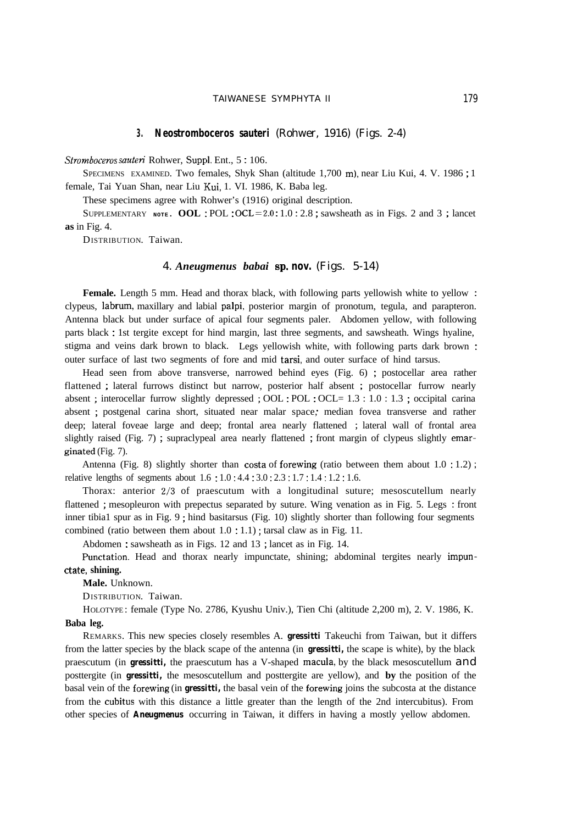#### TAIWANESE SYMPHYTA II 179

#### **3. Neostromboceros sauteri** (Rohwer, 1916) (Figs. 2-4)

*Stromboceros sauteti* Rohwer, Suppl. Ent., 5 : 106.

SPECIMENS EXAMINED. Two females, Shyk Shan (altitude 1,700 m), near Liu Kui, 4. V. 1986 ; 1 female, Tai Yuan Shan, near Liu Kui, 1. VI. 1986, K. Baba leg.

These specimens agree with Rohwer's (1916) original description.

SUPPLEMENTARY **NOTE. OOL** : POL : OCL=2.0 : 1.0 : 2.8 ; sawsheath as in Figs. 2 and 3 ; lancet **as** in Fig. 4.

DISTRIBUTION. Taiwan.

#### 4. *Aneugmenus babai* sp. **nov.** (Figs. 5-14)

Female. Length 5 mm. Head and thorax black, with following parts yellowish white to yellow : clypeus, labrum, maxillary and labial palpi, posterior margin of pronotum, tegula, and parapteron. Antenna black but under surface of apical four segments paler. Abdomen yellow, with following parts black : 1st tergite except for hind margin, last three segments, and sawsheath. Wings hyaline, stigma and veins dark brown to black. Legs yellowish white, with following parts dark brown : outer surface of last two segments of fore and mid tarsi, and outer surface of hind tarsus.

Head seen from above transverse, narrowed behind eyes (Fig. 6) ; postocellar area rather flattened ; lateral furrows distinct but narrow, posterior half absent ; postocellar furrow nearly absent ; interocellar furrow slightly depressed ; OOL : POL : OCL= 1.3 : 1.0 : 1.3 ; occipital carina absent ; postgenal carina short, situated near malar space, median fovea transverse and rather deep; lateral foveae large and deep; frontal area nearly flattened ; lateral wall of frontal area slightly raised (Fig. 7) ; supraclypeal area nearly flattened ; front margin of clypeus slightly emarginated (Fig. 7).

Antenna (Fig. 8) slightly shorter than costa of forewing (ratio between them about 1.0 : 1.2) ; relative lengths of segments about  $1.6 : 1.0 : 4.4 : 3.0 : 2.3 : 1.7 : 1.4 : 1.2 : 1.6$ .

Thorax: anterior 2/3 of praescutum with a longitudinal suture; mesoscutellum nearly flattened ; mesopleuron with prepectus separated by suture. Wing venation as in Fig. 5. Legs : front inner tibia1 spur as in Fig. 9 ; hind basitarsus (Fig. 10) slightly shorter than following four segments combined (ratio between them about 1.0 : 1.1) ; tarsal claw as in Fig. 11.

Abdomen : sawsheath as in Figs. 12 and 13 ; lancet as in Fig. 14.

Punctation. Head and thorax nearly impunctate, shining; abdominal tergites nearly impun**ctate, shining.**

**Male.** Unknown.

DISTRIBUTION. Taiwan.

HOLOTYPE : female (Type No. 2786, Kyushu Univ.), Tien Chi (altitude 2,200 m), 2. V. 1986, K. **Baba leg.**

REMARKS. This new species closely resembles A. *gressitti* Takeuchi from Taiwan, but it differs from the latter species by the black scape of the antenna (in *gressitti,* the scape is white), by the black praescutum (in *gressitti,* the praescutum has a V-shaped macula, by the black mesoscutellum and posttergite (in *gressitti,* the mesoscutellum and posttergite are yellow), and **by** the position of the basal vein of the forewing (in *gressitti,* the basal vein of the forewing joins the subcosta at the distance from the cubitus with this distance a little greater than the length of the 2nd intercubitus). From other species of *Aneugmenus* occurring in Taiwan, it differs in having a mostly yellow abdomen.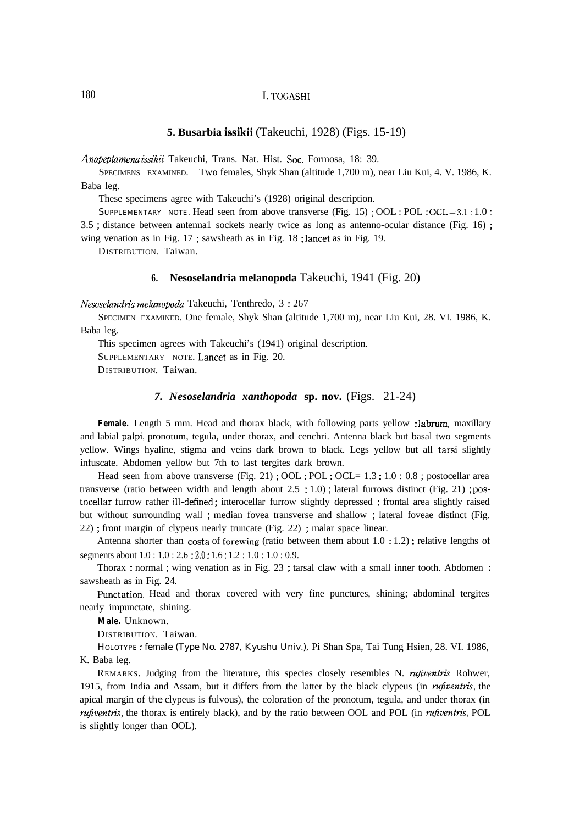#### **5. Busarbia issikii** (Takeuchi, 1928) (Figs. 15-19)

*Anapeptamena issikii* Takeuchi, Trans. Nat. Hist. Soc. Formosa, 18: 39.

SPECIMENS EXAMINED. Two females, Shyk Shan (altitude 1,700 m), near Liu Kui, 4. V. 1986, K. Baba leg.

These specimens agree with Takeuchi's (1928) original description.

SUPPLEMENTARY NOTE. Head seen from above transverse (Fig. 15) ; OOL : POL :  $OCL = 3.1 : 1.0 :$ 3.5 ; distance between antenna1 sockets nearly twice as long as antenno-ocular distance (Fig. 16) ; wing venation as in Fig. 17 ; sawsheath as in Fig. 18 ; lancet as in Fig. 19.

DISTRIBUTION. Taiwan.

#### **6. Nesoselandria melanopoda** Takeuchi, 1941 (Fig. 20)

*Nesosekzndria mekwzopoda* Takeuchi, Tenthredo, 3 : 267

SPECIMEN EXAMINED. One female, Shyk Shan (altitude 1,700 m), near Liu Kui, 28. VI. 1986, K. Baba leg.

This specimen agrees with Takeuchi's (1941) original description.

SUPPLEMENTARY NOTE. Lancet as in Fig. 20.

DISTRIBUTION. Taiwan.

#### *7. Nesoselandria xanthopoda* **sp. nov.** (Figs. 21-24)

Female. Length 5 mm. Head and thorax black, with following parts yellow : labrum, maxillary and labial palpi, pronotum, tegula, under thorax, and cenchri. Antenna black but basal two segments yellow. Wings hyaline, stigma and veins dark brown to black. Legs yellow but all tarsi slightly infuscate. Abdomen yellow but 7th to last tergites dark brown.

Head seen from above transverse (Fig. 21); OOL: POL: OCL= 1.3: 1.0: 0.8; postocellar area transverse (ratio between width and length about  $2.5 \div 1.0$ ); lateral furrows distinct (Fig. 21); postocellar furrow rather ill-defined; interocellar furrow slightly depressed; frontal area slightly raised but without surrounding wall ; median fovea transverse and shallow ; lateral foveae distinct (Fig. 22) ; front margin of clypeus nearly truncate (Fig. 22) ; malar space linear.

Antenna shorter than costa of forewing (ratio between them about 1.0 : 1.2) ; relative lengths of segments about 1.0 : 1.0 : 2.6 : 2.0 : 1.6 : 1.2 : 1.0 : 1.0 : 0.9.

Thorax : normal ; wing venation as in Fig. 23 ; tarsal claw with a small inner tooth. Abdomen : sawsheath as in Fig. 24.

Punctation. Head and thorax covered with very fine punctures, shining; abdominal tergites nearly impunctate, shining.

**Male.** Unknown.

DISTRIBUTION. Taiwan.

HOLOTYPE : female (Type No. 2787, Kyushu Univ.), Pi Shan Spa, Tai Tung Hsien, 28. VI. 1986, K. Baba leg.

REMARKS. Judging from the literature, this species closely resembles N. *rufiventris* Rohwer, 1915, from India and Assam, but it differs from the latter by the black clypeus (in *mjventris,* the apical margin of the clypeus is fulvous), the coloration of the pronotum, tegula, and under thorax (in *rufiventris,* the thorax is entirely black), and by the ratio between OOL and POL (in *rufiventris,* POL is slightly longer than OOL).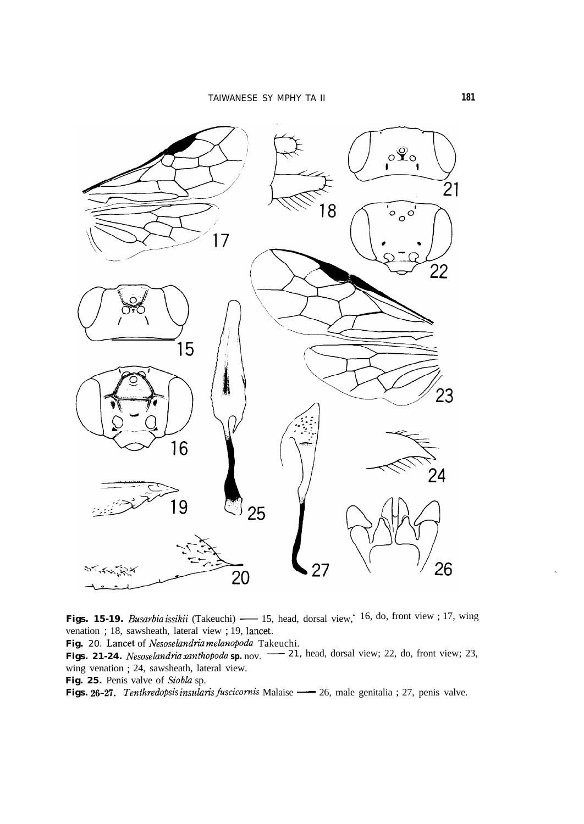

venation ; 18, sawsheath, lateral view ; 19, lancet. **Figs. 15-19.** *Busarbia issikii* (Takeuchi) — 15, head, dorsal view; 16, do, front view; 17, wing venation; 18, sawsheath, lateral view; 19, lancet.<br>**Fig.** 20. Lancet of *Nesoselandria melanopoda* Takeuchi.<br>**Figs. 21-24.** 

Fig. 20. Lancet of *Nesoselandria melanopoda* Takeuchi.

wing venation ; 24, sawsheath, lateral view. **Figs. 21-24.** *Nesoselandria xanthopoda sp.* nov. <sup>-----</sup> 21, head, dorsal view; 22, do, front view; 2 wing venation ; 24, sawsheath, lateral view.<br>**Fig. 25.** Penis valve of *Siobla* sp.<br>**Figs. 26-27.** *Tenthredopsis in* 

Fig. 25. Penis valve of Siobla sp.<br>Figs. 26-27. Tenthredopsis insularis fuscicornis Malaise — 26, male genitalia ; 27, penis valve.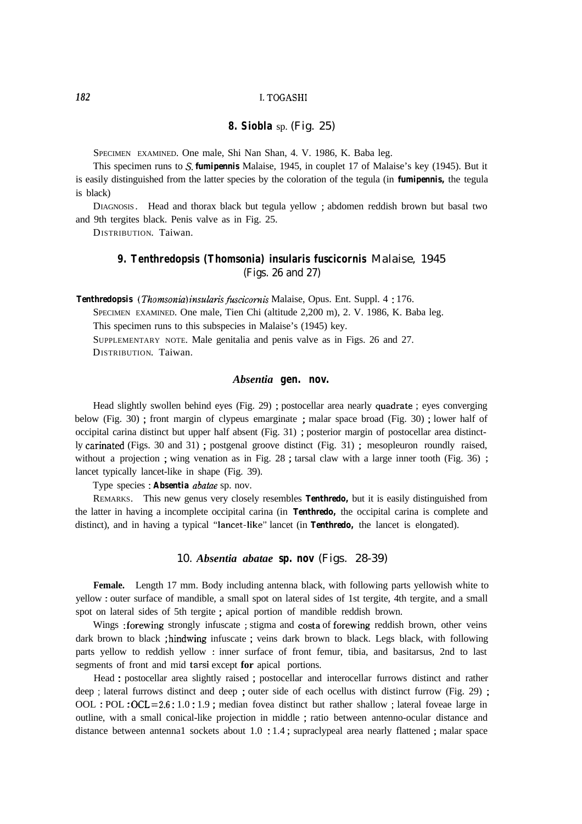#### **8. Siobla** sp. (Fig. 25)

SPECIMEN EXAMINED. One male, Shi Nan Shan, 4. V. 1986, K. Baba leg.

This specimen runs to S. *fumipennis* Malaise, 1945, in couplet 17 of Malaise's key (1945). But it is easily distinguished from the latter species by the coloration of the tegula (in *fumipennis,* the tegula is black)

DIAGNOSIS . Head and thorax black but tegula yellow ; abdomen reddish brown but basal two and 9th tergites black. Penis valve as in Fig. 25.

DISTRIBUTION. Taiwan.

# **9. Tenthredopsis (Thomsonia) insularis fuscicornis** Malaise, 1945 (Figs. 26 and 27)

*Tenthredopsis (Thomonia) insularis fwcicomis* Malaise, Opus. Ent. Suppl. 4 : 176.

SPECIMEN EXAMINED. One male, Tien Chi (altitude 2,200 m), 2. V. 1986, K. Baba leg.

This specimen runs to this subspecies in Malaise's (1945) key.

SUPPLEMENTARY NOTE. Male genitalia and penis valve as in Figs. 26 and 27. DISTRIBUTION. Taiwan.

#### *Absentia* **gen. nov.**

Head slightly swollen behind eyes (Fig. 29) ; postocellar area nearly quadrate ; eyes converging below (Fig. 30) ; front margin of clypeus emarginate ; malar space broad (Fig. 30) ; lower half of occipital carina distinct but upper half absent (Fig. 31) ; posterior margin of postocellar area distinctly carinated (Figs. 30 and 31) ; postgenal groove distinct (Fig. 31) ; mesopleuron roundly raised, without a projection ; wing venation as in Fig. 28 ; tarsal claw with a large inner tooth (Fig. 36) ; lancet typically lancet-like in shape (Fig. 39).

Type species : *Absentia abatae* sp. nov.

REMARKS. This new genus very closely resembles *Tenthredo,* but it is easily distinguished from the latter in having a incomplete occipital carina (in *Tenthredo,* the occipital carina is complete and distinct), and in having a typical "lancet-like" lancet (in *Tenthredo,* the lancet is elongated).

#### 10. *Absentia abatae* **sp. nov** (Figs. 28-39)

**Female.** Length 17 mm. Body including antenna black, with following parts yellowish white to yellow : outer surface of mandible, a small spot on lateral sides of 1st tergite, 4th tergite, and a small spot on lateral sides of 5th tergite ; apical portion of mandible reddish brown.

Wings : forewing strongly infuscate ; stigma and costa of forewing reddish brown, other veins dark brown to black ; hindwing infuscate ; veins dark brown to black. Legs black, with following parts yellow to reddish yellow : inner surface of front femur, tibia, and basitarsus, 2nd to last segments of front and mid tarsi except **for** apical portions.

Head : postocellar area slightly raised ; postocellar and interocellar furrows distinct and rather deep ; lateral furrows distinct and deep ; outer side of each ocellus with distinct furrow (Fig. 29) ; OOL : POL : OCL=2.6 : 1.0 : 1.9 ; median fovea distinct but rather shallow ; lateral foveae large in outline, with a small conical-like projection in middle ; ratio between antenno-ocular distance and distance between antenna1 sockets about 1.0 : 1.4 ; supraclypeal area nearly flattened ; malar space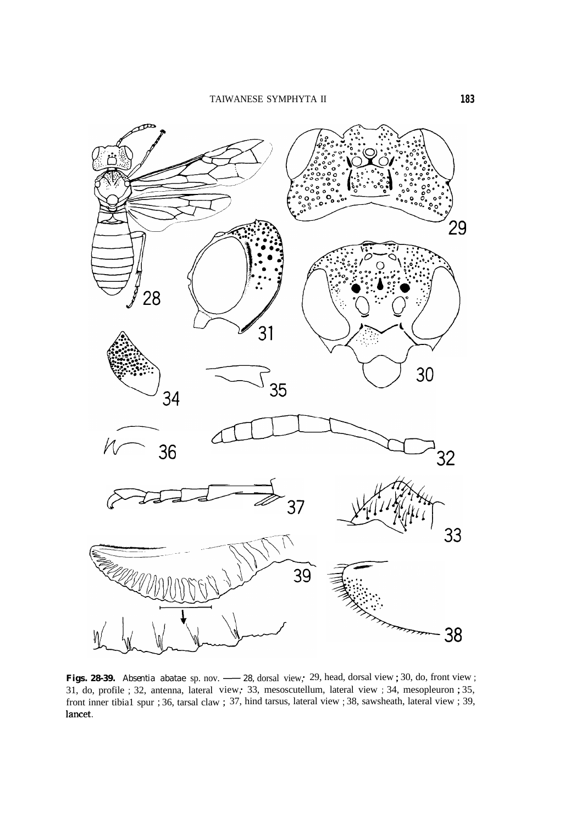

**Figs. 28-39.** *Absentia abatae sp. nov.* - 28, dorsal view,\* 29, head, dorsal view ; 30, do, front view ; 31, do, profile ; 32, antenna, lateral view,\* 33, mesoscutellum, lateral view ; 34, mesopleuron ; 35, front inner tibia1 spur ; 36, tarsal claw ; 37, hind tarsus, lateral view ; 38, sawsheath, lateral view ; 39, lancet.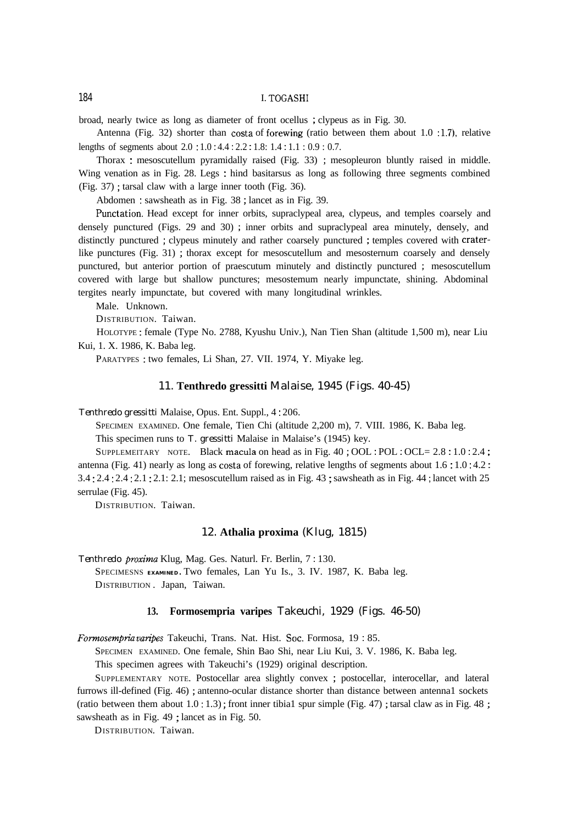broad, nearly twice as long as diameter of front ocellus ; clypeus as in Fig. 30.

Antenna (Fig. 32) shorter than costa of forewing (ratio between them about 1.0 :1.7), relative lengths of segments about 2.0 : 1.0 : 4.4 : 2.2 : 1.8: 1.4 : 1.1 : 0.9 : 0.7.

Thorax : mesoscutellum pyramidally raised (Fig. 33) ; mesopleuron bluntly raised in middle. Wing venation as in Fig. 28. Legs : hind basitarsus as long as following three segments combined (Fig. 37) ; tarsal claw with a large inner tooth (Fig. 36).

Abdomen : sawsheath as in Fig. 38 ; lancet as in Fig. 39.

Punctation. Head except for inner orbits, supraclypeal area, clypeus, and temples coarsely and densely punctured (Figs. 29 and 30) ; inner orbits and supraclypeal area minutely, densely, and distinctly punctured ; clypeus minutely and rather coarsely punctured ; temples covered with craterlike punctures (Fig. 31) ; thorax except for mesoscutellum and mesosternum coarsely and densely punctured, but anterior portion of praescutum minutely and distinctly punctured ; mesoscutellum covered with large but shallow punctures; mesostemum nearly impunctate, shining. Abdominal tergites nearly impunctate, but covered with many longitudinal wrinkles.

Male. Unknown.

DISTRIBUTION. Taiwan.

HOLOTYPE : female (Type No. 2788, Kyushu Univ.), Nan Tien Shan (altitude 1,500 m), near Liu Kui, 1. X. 1986, K. Baba leg.

PARATYPES : two females, Li Shan, 27. VII. 1974, Y. Miyake leg.

#### 11. **Tenthredo gressitti** Malaise, 1945 (Figs. 40-45)

*Tenthredo gressitti* Malaise, Opus. Ent. Suppl., 4 : 206.

SPECIMEN EXAMINED. One female, Tien Chi (altitude 2,200 m), 7. VIII. 1986, K. Baba leg.

This specimen runs to *T. gressitti* Malaise in Malaise's (1945) key.

SUPPLEMEITARY NOTE. Black macula on head as in Fig.  $40: OOL : POL : OCL = 2.8 : 1.0 : 2.4$ ; antenna (Fig. 41) nearly as long as costa of forewing, relative lengths of segments about 1.6 : 1.0 : 4.2 : 3.4 : 2.4 : 2.4 : 2.1 : 2.1: 2.1; mesoscutellum raised as in Fig. 43 ; sawsheath as in Fig. 44 ; lancet with 25 serrulae (Fig. 45).

DISTRIBUTION. Taiwan.

#### 12. **Athalia proxima** (Klug, 1815)

*Tenthredo proxima* Klug, Mag. Ges. Naturl. Fr. Berlin, 7:130. SPECIMESNS EXAMINED. Two females, Lan Yu Is., 3. IV. 1987, K. Baba leg. DISTRIBUTION . Japan, Taiwan.

#### **13. Formosempria varipes** Takeuchi, 1929 (Figs. 46-50)

*Formosempria varipes* Takeuchi, Trans. Nat. Hist. Soc. Formosa, 19:85.

SPECIMEN EXAMINED. One female, Shin Bao Shi, near Liu Kui, 3. V. 1986, K. Baba leg.

This specimen agrees with Takeuchi's (1929) original description.

SUPPLEMENTARY NOTE. Postocellar area slightly convex ; postocellar, interocellar, and lateral furrows ill-defined (Fig. 46) ; antenno-ocular distance shorter than distance between antenna1 sockets (ratio between them about  $1.0 : 1.3$ ); front inner tibia1 spur simple (Fig. 47); tarsal claw as in Fig. 48; sawsheath as in Fig. 49 ; lancet as in Fig. 50.

DISTRIBUTION. Taiwan.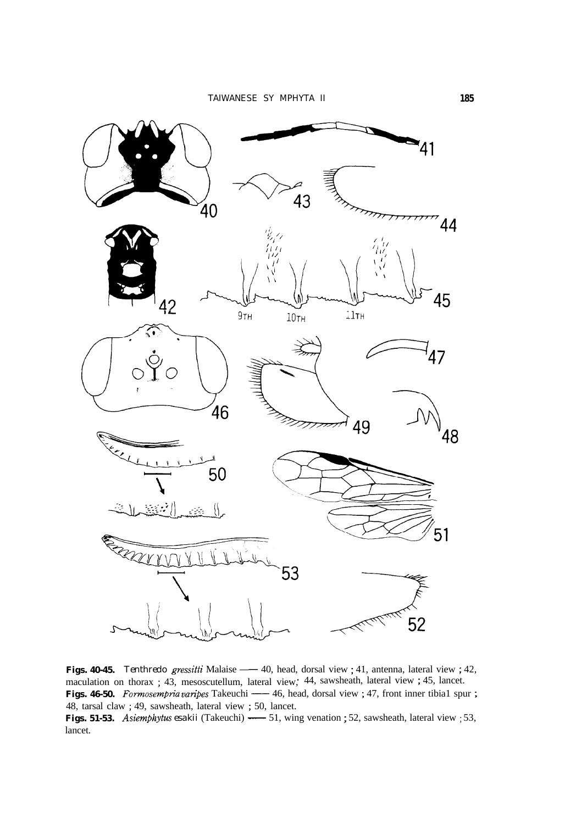

maculation on thorax ; 43, mesoscutellum, lateral view, 44, sawsheath, lateral view ; 45, lancet. **Figs. 40-45.** *Tenthredo gressitti* Malaise — 40, head, dorsal view ; 41, antenna, lateral view ; 42, maculation on thorax ; 43, mesoscutellum, lateral view, 44, sawsheath, lateral view ; 45, lancet.<br>**Figs. 46-50.** *Formo* 48, tarsal claw ; 49, sawsheath, lateral view ; 50, lancet.<br> **Figs. 51-53.** Asiemphytus esakii (Takeuchi) — 51, wing venation ; 52, sawsheath, lateral view ; 53, maculation on thorax ; 43, mesoscutellum, lateral view; 44, sawsheath, lateral view ; 45, lancet.<br> **Figs. 46-50.** *Formosempria varipes* Takeuchi — 46, head, dorsal view ; 47, front inner tibial spur ; 48, tarsal claw ; 49 lancet.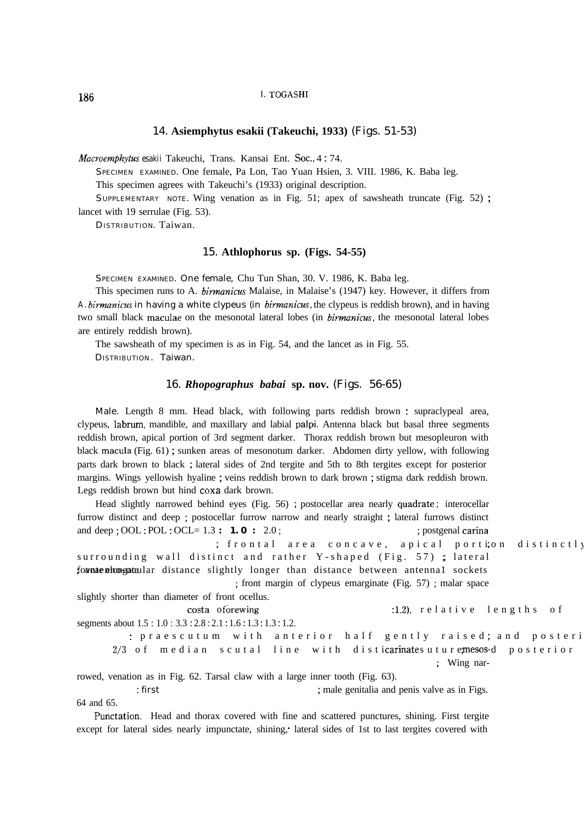#### 14. **Asiemphytus esakii (Takeuchi, 1933)** (Figs. 51-53)

*Macroemphytus esakii* Takeuchi, Trans. Kansai Ent. Soc., 4:74.

SPECIMEN EXAMINED. One female, Pa Lon, Tao Yuan Hsien, 3. VIII. 1986, K. Baba leg.

This specimen agrees with Takeuchi's (1933) original description.

SUPPLEMENTARY NOTE. Wing venation as in Fig. 51; apex of sawsheath truncate (Fig. 52) ; lancet with 19 serrulae (Fig. 53).

DISTRIBUTION. Taiwan.

#### 15. **Athlophorus sp. (Figs. 54-55)**

SPECIMEN EXAMINED. One female, Chu Tun Shan, 30. V. 1986, K. Baba leg.

This specimen runs to A. *birmunicus* Malaise, in Malaise's (1947) key. However, it differs from *A. biwnanicus* in having a white clypeus (in *birmanicus,* the clypeus is reddish brown), and in having two small black maculae on the mesonotal lateral lobes (in *birmanicus*, the mesonotal lateral lobes are entirely reddish brown).

The sawsheath of my specimen is as in Fig. 54, and the lancet as in Fig. 55.

DISTRIBUTION . Taiwan.

#### 16. *Rhopographus babai* **sp. nov.** (Figs. 56-65)

Male. Length 8 mm. Head black, with following parts reddish brown : supraclypeal area, clypeus, labrum, mandible, and maxillary and labial palpi. Antenna black but basal three segments reddish brown, apical portion of 3rd segment darker. Thorax reddish brown but mesopleuron with black macula (Fig. 61) ; sunken areas of mesonotum darker. Abdomen dirty yellow, with following parts dark brown to black ; lateral sides of 2nd tergite and 5th to 8th tergites except for posterior margins. Wings yellowish hyaline ; veins reddish brown to dark brown ; stigma dark reddish brown. Legs reddish brown but hind coxa dark brown.

Head slightly narrowed behind eyes (Fig. 56) ; postocellar area nearly quadrate ; interocellar furrow distinct and deep ; postocellar furrow narrow and nearly straight ; lateral furrows distinct and deep ; OOL : POL : OCL= 1.3 **: 1.0** : 2.0; ; postgenal carina ; frontal area concave, apical portion distinctly surrounding wall distinct and rather Y-shaped (Fig.  $57$ ); lateral foreae elongatular distance slightly longer than distance between antennal sockets ; front margin of clypeus emarginate (Fig. 57) ; malar space slightly shorter than diameter of front ocellus. costa of orewing :1.2), relative lengths of segments about 1.5 : 1.0 : 3.3 : 2.8 : 2.1 : 1.6 : 1.3 : 1.3 : 1.2. : praescutum with anterior half gently raised; and posteri  $2/3$  of median scutal line with disticarinates uture mesos-d posterior ; Wing nar-

rowed, venation as in Fig. 62. Tarsal claw with a large inner tooth (Fig. 63).

: first ; male genitalia and penis valve as in Figs.

64 and 65.

Punctation. Head and thorax covered with fine and scattered punctures, shining. First tergite except for lateral sides nearly impunctate, shining, lateral sides of 1st to last tergites covered with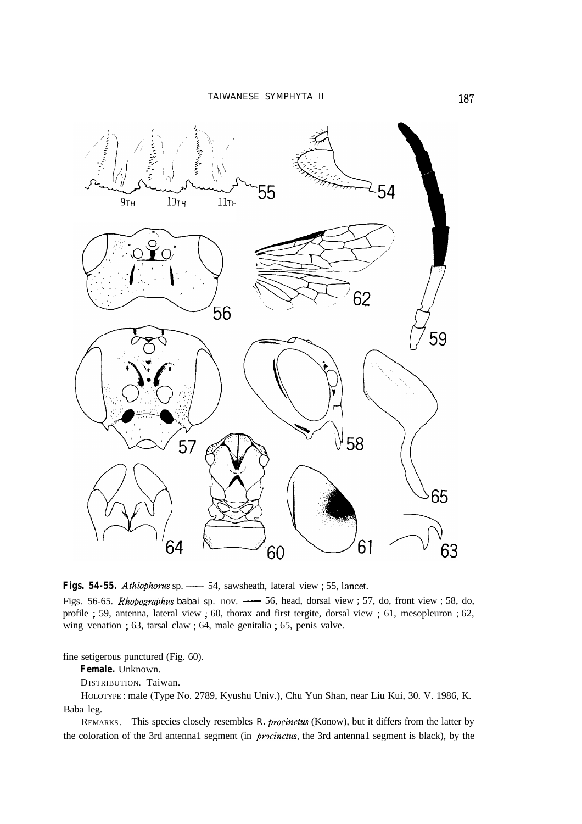TAIWANESE SYMPHYTA II



profile ; 59, antenna, lateral view ; 60, thorax and first tergite, dorsal view ; 61, mesopleuron ; 62, wing venation ; 63, tarsal claw ; 64, male genitalia ; 65, penis valve.

fine setigerous punctured (Fig. 60).

**Female.** Unknown.

DISTRIBUTION. Taiwan.

HOLOTYPE : male (Type No. 2789, Kyushu Univ.), Chu Yun Shan, near Liu Kui, 30. V. 1986, K. Baba leg.

REMARKS. This species closely resembles *R. procinctus* (Konow), but it differs from the latter by the coloration of the 3rd antenna1 segment (in *procinctus*, the 3rd antenna1 segment is black), by the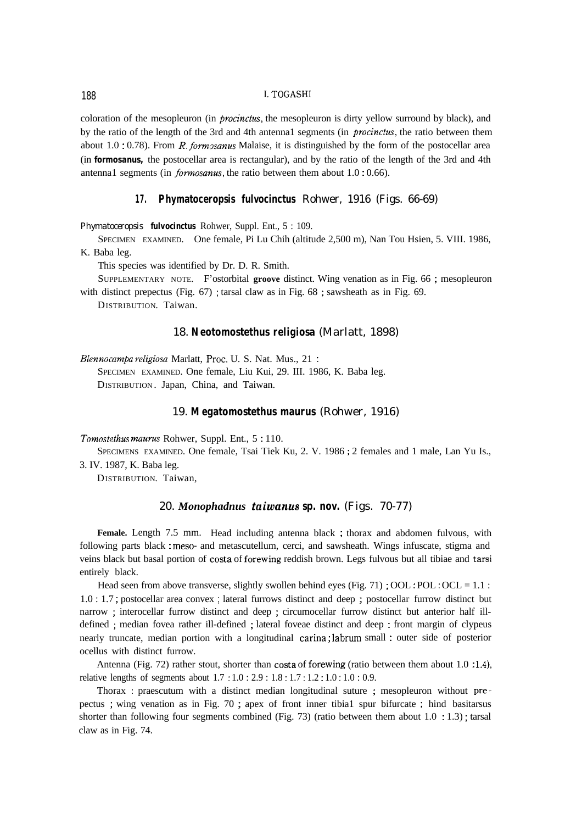coloration of the mesopleuron (in *procinctus*, the mesopleuron is dirty yellow surround by black), and by the ratio of the length of the 3rd and 4th antenna1 segments (in *procinctus,* the ratio between them about 1.0 : 0.78). From R. *formxanus* Malaise, it is distinguished by the form of the postocellar area (in *formosanus,* the postocellar area is rectangular), and by the ratio of the length of the 3rd and 4th antenna1 segments (in *formosaws,* the ratio between them about 1.0 : 0.66).

#### **17. Phymatoceropsis fulvocinctus** Rohwer, 1916 (Figs. 66-69)

*Phymatoceropsis fulvocinctus* Rohwer, Suppl. Ent., 5 : 109.

SPECIMEN EXAMINED. One female, Pi Lu Chih (altitude 2,500 m), Nan Tou Hsien, 5. VIII. 1986, K. Baba leg.

This species was identified by Dr. D. R. Smith.

SUPPLEMENTARY NOTE. F'ostorbital **groove** distinct. Wing venation as in Fig. 66 ; mesopleuron with distinct prepectus (Fig. 67); tarsal claw as in Fig. 68; sawsheath as in Fig. 69.

DISTRIBUTION. Taiwan.

#### 18. **Neotomostethus religiosa** (Marlatt, 1898)

*Blennocampa religiosa* Marlatt, Proc. U. S. Nat. Mus., 21 :

SPECIMEN EXAMINED. One female, Liu Kui, 29. III. 1986, K. Baba leg. DISTRIBUTION . Japan, China, and Taiwan.

#### 19. **Megatomostethus maurus** (Rohwer, 1916)

*Tomostethus maurus* Rohwer, Suppl. Ent., 5:110.

SPECIMENS EXAMINED. One female, Tsai Tiek Ku, 2. V. 1986 ; 2 females and 1 male, Lan Yu Is., 3. IV. 1987, K. Baba leg.

DISTRIBUTION. Taiwan,

#### 20. *Monophadnus taiwanus* **sp. nov.** (Figs. 70-77)

**Female.** Length 7.5 mm. Head including antenna black ; thorax and abdomen fulvous, with following parts black : meso- and metascutellum, cerci, and sawsheath. Wings infuscate, stigma and veins black but basal portion of costa of forewing reddish brown. Legs fulvous but all tibiae and tarsi entirely black.

Head seen from above transverse, slightly swollen behind eyes (Fig. 71) ; OOL : POL : OCL = 1.1 : 1.0 : 1.7 ; postocellar area convex ; lateral furrows distinct and deep ; postocellar furrow distinct but narrow ; interocellar furrow distinct and deep ; circumocellar furrow distinct but anterior half illdefined ; median fovea rather ill-defined ; lateral foveae distinct and deep : front margin of clypeus nearly truncate, median portion with a longitudinal carina ; labrum small : outer side of posterior ocellus with distinct furrow.

Antenna (Fig. 72) rather stout, shorter than costa of forewing (ratio between them about 1.0 :1.4), relative lengths of segments about 1.7 : 1.0 : 2.9 : 1.8 : 1.7 : 1.2 : 1.0 : 1.0 : 0.9.

Thorax : praescutum with a distinct median longitudinal suture ; mesopleuron without prepectus ; wing venation as in Fig. 70 ; apex of front inner tibia1 spur bifurcate ; hind basitarsus shorter than following four segments combined (Fig. 73) (ratio between them about 1.0 : 1.3) ; tarsal claw as in Fig. 74.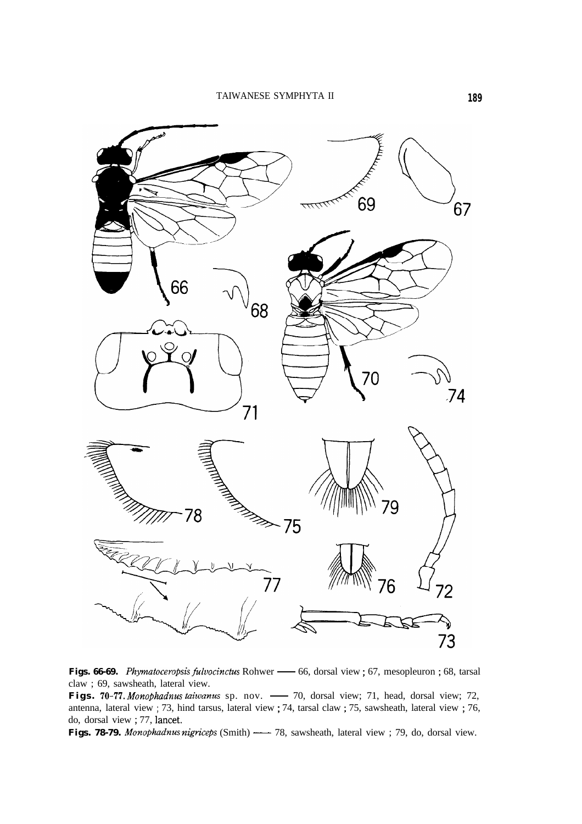

Figs. 66-69. *Phymatoceropsis fulvocinctus* Rohwer — 66, dorsal view ; 67, mesopleuron ; 68, tarsal claw ; 69, sawsheath, lateral view.<br>Figs. 70-77. Monophadnus taiwanus sp. nov. — 70, dorsal view; 71, head, dorsal view; 7 claw ; 69, sawsheath, lateral view.

antenna, lateral view ; 73, hind tarsus, lateral view ; 74, tarsal claw ; 75, sawsheath, lateral view ; 76, do, dorsal view; 77, lancet.<br> **Figs. 78-79.** Monophadnus nigriceps (Smith) — 78, sawsheath, lateral view; 79, do, dorsal view. Figs. 70-77. *Monophadnus taiwanus* sp. nov. — 70, dorsal view; 71, head, dorsal view; 72 antenna, lateral view ; 73, hind tarsus, lateral view ; 74, tarsal claw ; 75, sawsheath, lateral view ; 76 do, dorsal view ; 77, lan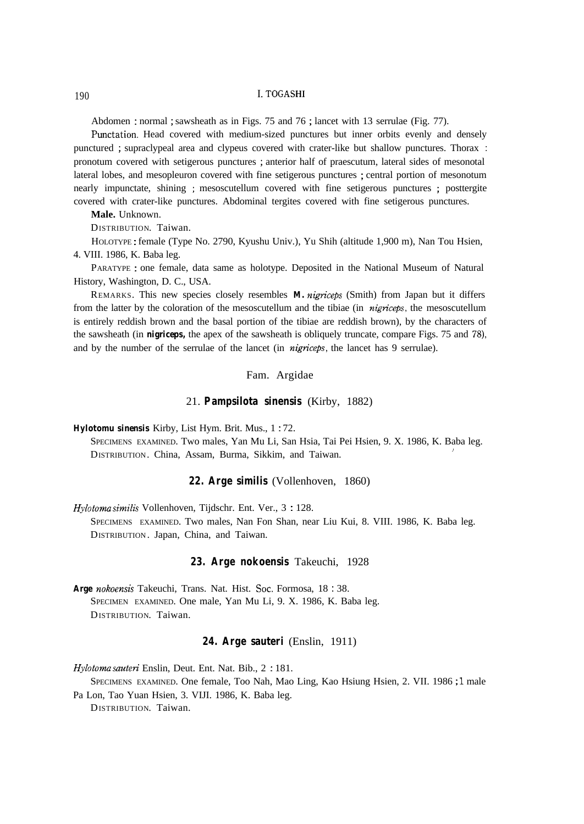Abdomen : normal ; sawsheath as in Figs. 75 and 76 ; lancet with 13 serrulae (Fig. 77).

Punctation. Head covered with medium-sized punctures but inner orbits evenly and densely punctured ; supraclypeal area and clypeus covered with crater-like but shallow punctures. Thorax : pronotum covered with setigerous punctures ; anterior half of praescutum, lateral sides of mesonotal lateral lobes, and mesopleuron covered with fine setigerous punctures ; central portion of mesonotum nearly impunctate, shining ; mesoscutellum covered with fine setigerous punctures ; posttergite covered with crater-like punctures. Abdominal tergites covered with fine setigerous punctures.

**Male.** Unknown.

DISTRIBUTION. Taiwan.

HOLOTYPE : female (Type No. 2790, Kyushu Univ.), Yu Shih (altitude 1,900 m), Nan Tou Hsien, 4. VIII. 1986, K. Baba leg.

PARATYPE : one female, data same as holotype. Deposited in the National Museum of Natural History, Washington, D. C., USA.

REMARKS. This new species closely resembles *M. nigticeps* (Smith) from Japan but it differs from the latter by the coloration of the mesoscutellum and the tibiae (in *nigriceps,* the mesoscutellum is entirely reddish brown and the basal portion of the tibiae are reddish brown), by the characters of the sawsheath (in *nigriceps,* the apex of the sawsheath is obliquely truncate, compare Figs. 75 and 78) and by the number of the serrulae of the lancet (in *nigriceps*, the lancet has 9 serrulae).

#### Fam. Argidae

#### 21. **Pampsilota sinensis** (Kirby, 1882)

*Hylotomu sinensis* Kirby, List Hym. Brit. Mus., 1 : 72.

SPECIMENS EXAMINED. Two males, Yan Mu Li, San Hsia, Tai Pei Hsien, 9. X. 1986, K. Baba leg. , DISTRIBUTION. China, Assam, Burma, Sikkim, and Taiwan.

#### **22. Arge similis** (Vollenhoven, 1860)

*Hylotoma similis* Vollenhoven, Tijdschr. Ent. Ver., 3 : 128.

SPECIMENS EXAMINED. Two males, Nan Fon Shan, near Liu Kui, 8. VIII. 1986, K. Baba leg. DISTRIBUTION. Japan, China, and Taiwan.

#### **23. Arge nokoensis** Takeuchi, 1928

Arge nokoensis Takeuchi, Trans. Nat. Hist. Soc. Formosa, 18:38. SPECIMEN EXAMINED. One male, Yan Mu Li, 9. X. 1986, K. Baba leg. DISTRIBUTION. Taiwan.

#### **24. Arge sauteri** (Enslin, 1911)

*Hylotomu sauteri* Enslin, Deut. Ent. Nat. Bib., 2 : 181.

SPECIMENS EXAMINED. One female, Too Nah, Mao Ling, Kao Hsiung Hsien, 2. VII. 1986 ; <sup>1</sup> male

Pa Lon, Tao Yuan Hsien, 3. VIJI. 1986, K. Baba leg.

DISTRIBUTION. Taiwan.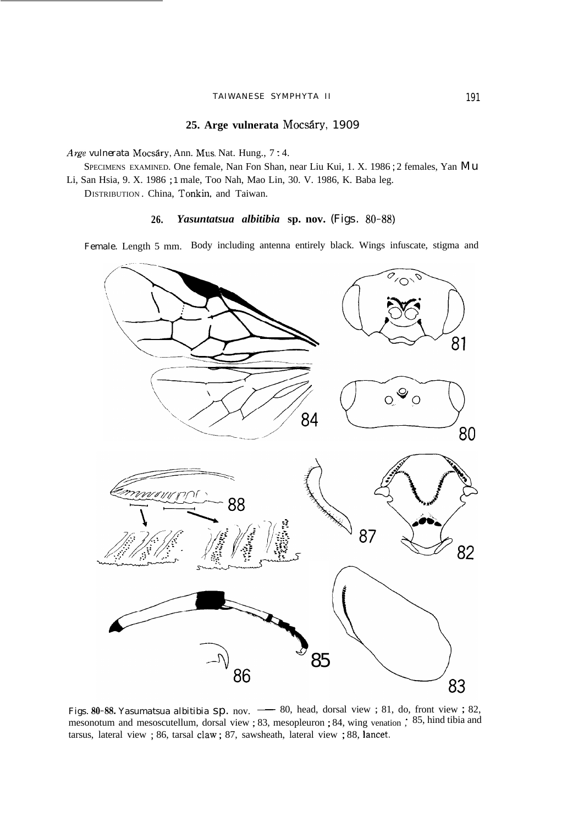#### TAIWANESE SYMPHYTA II 191

# 25. Arge vulnerata Mocsáry, 1909

*Arge vulnerata* Mocsary, Ann. Mus. Nat. Hung., 7 : 4.

SPECIMENS EXAMINED. One female, Nan Fon Shan, near Liu Kui, 1. X. 1986 ; 2 females, Yan Mu Li, San Hsia, 9. X. 1986 ; 1 male, Too Nah, Mao Lin, 30. V. 1986, K. Baba leg.

DISTRIBUTION . China, Tonkin, and Taiwan.

# **26.** *Yasuntatsua albitibia* **sp. nov.** (Figs. 80-88)

Female. Length 5 mm. Body including antenna entirely black. Wings infuscate, stigma and



mesonotum and mesoscutellum, dorsal view ; 83, mesopleuron ; 84, wing venation , 85, hind tibia and tarsus, lateral view ; 86, tarsal claw ; 87, sawsheath, lateral view ; 88, lancet.